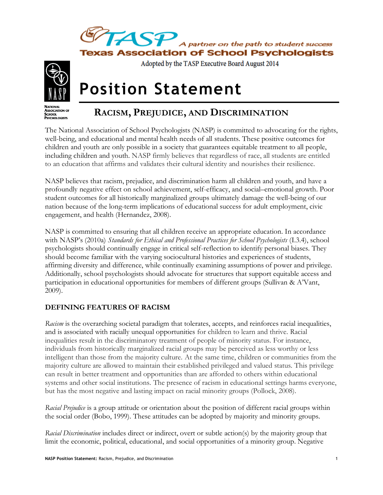



Adopted by the TASP Executive Board August 2014

# **Position Statement**



# **RACISM, PREJUDICE, AND DISCRIMINATION**

The National Association of School Psychologists (NASP) is committed to advocating for the rights, well-being, and educational and mental health needs of all students. These positive outcomes for children and youth are only possible in a society that guarantees equitable treatment to all people, including children and youth. NASP firmly believes that regardless of race, all students are entitled to an education that affirms and validates their cultural identity and nourishes their resilience.

NASP believes that racism, prejudice, and discrimination harm all children and youth, and have a profoundly negative effect on school achievement, self-efficacy, and social–emotional growth. Poor student outcomes for all historically marginalized groups ultimately damage the well-being of our nation because of the long-term implications of educational success for adult employment, civic engagement, and health (Hernandez, 2008).

NASP is committed to ensuring that all children receive an appropriate education. In accordance with NASP's (2010a) *Standards for Ethical and Professional Practices for School Psychologists* (I.3.4), school psychologists should continually engage in critical self-reflection to identify personal biases. They should become familiar with the varying sociocultural histories and experiences of students, affirming diversity and difference, while continually examining assumptions of power and privilege. Additionally, school psychologists should advocate for structures that support equitable access and participation in educational opportunities for members of different groups (Sullivan & A'Vant, 2009).

## **DEFINING FEATURES OF RACISM**

*Racism* is the overarching societal paradigm that tolerates, accepts, and reinforces racial inequalities, and is associated with racially unequal opportunities for children to learn and thrive. Racial inequalities result in the discriminatory treatment of people of minority status. For instance, individuals from historically marginalized racial groups may be perceived as less worthy or less intelligent than those from the majority culture. At the same time, children or communities from the majority culture are allowed to maintain their established privileged and valued status. This privilege can result in better treatment and opportunities than are afforded to others within educational systems and other social institutions. The presence of racism in educational settings harms everyone, but has the most negative and lasting impact on racial minority groups (Pollock, 2008).

*Racial Prejudice* is a group attitude or orientation about the position of different racial groups within the social order (Bobo, 1999). These attitudes can be adopted by majority and minority groups.

*Racial Discrimination* includes direct or indirect, overt or subtle action(s) by the majority group that limit the economic, political, educational, and social opportunities of a minority group. Negative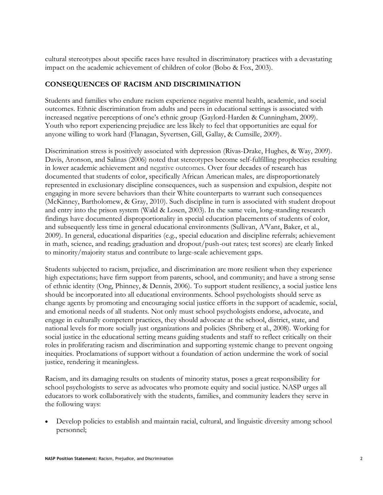cultural stereotypes about specific races have resulted in discriminatory practices with a devastating impact on the academic achievement of children of color (Bobo & Fox, 2003).

#### **CONSEQUENCES OF RACISM AND DISCRIMINATION**

Students and families who endure racism experience negative mental health, academic, and social outcomes. Ethnic discrimination from adults and peers in educational settings is associated with increased negative perceptions of one's ethnic group (Gaylord-Harden & Cunningham, 2009). Youth who report experiencing prejudice are less likely to feel that opportunities are equal for anyone willing to work hard (Flanagan, Syvertsen, Gill, Gallay, & Cumsille, 2009).

Discrimination stress is positively associated with depression (Rivas-Drake, Hughes, & Way, 2009). Davis, Aronson, and Salinas (2006) noted that stereotypes become self-fulfilling prophecies resulting in lower academic achievement and negative outcomes. Over four decades of research has documented that students of color, specifically African American males, are disproportionately represented in exclusionary discipline consequences, such as suspension and expulsion, despite not engaging in more severe behaviors than their White counterparts to warrant such consequences (McKinney, Bartholomew, & Gray, 2010). Such discipline in turn is associated with student dropout and entry into the prison system (Wald & Losen, 2003). In the same vein, long-standing research findings have documented disproportionality in special education placements of students of color, and subsequently less time in general educational environments (Sullivan, A'Vant, Baker, et al., 2009). In general, educational disparities (e.g., special education and discipline referrals; achievement in math, science, and reading; graduation and dropout/push-out rates; test scores) are clearly linked to minority/majority status and contribute to large-scale achievement gaps.

Students subjected to racism, prejudice, and discrimination are more resilient when they experience high expectations; have firm support from parents, school, and community; and have a strong sense of ethnic identity (Ong, Phinney, & Dennis, 2006). To support student resiliency, a social justice lens should be incorporated into all educational environments. School psychologists should serve as change agents by promoting and encouraging social justice efforts in the support of academic, social, and emotional needs of all students. Not only must school psychologists endorse, advocate, and engage in culturally competent practices, they should advocate at the school, district, state, and national levels for more socially just organizations and policies (Shriberg et al., 2008). Working for social justice in the educational setting means guiding students and staff to reflect critically on their roles in proliferating racism and discrimination and supporting systemic change to prevent ongoing inequities. Proclamations of support without a foundation of action undermine the work of social justice, rendering it meaningless.

Racism, and its damaging results on students of minority status, poses a great responsibility for school psychologists to serve as advocates who promote equity and social justice. NASP urges all educators to work collaboratively with the students, families, and community leaders they serve in the following ways:

 Develop policies to establish and maintain racial, cultural, and linguistic diversity among school personnel;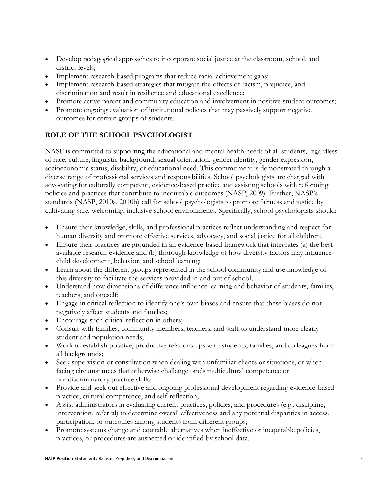- Develop pedagogical approaches to incorporate social justice at the classroom, school, and district levels;
- Implement research-based programs that reduce racial achievement gaps;
- Implement research-based strategies that mitigate the effects of racism, prejudice, and discrimination and result in resilience and educational excellence;
- Promote active parent and community education and involvement in positive student outcomes;
- Promote ongoing evaluation of institutional policies that may passively support negative outcomes for certain groups of students.

## **ROLE OF THE SCHOOL PSYCHOLOGIST**

NASP is committed to supporting the educational and mental health needs of all students, regardless of race, culture, linguistic background, sexual orientation, gender identity, gender expression, socioeconomic status, disability, or educational need. This commitment is demonstrated through a diverse range of professional services and responsibilities. School psychologists are charged with advocating for culturally competent, evidence-based practice and assisting schools with reforming policies and practices that contribute to inequitable outcomes (NASP, 2009). Further, NASP's standards (NASP, 2010a, 2010b) call for school psychologists to promote fairness and justice by cultivating safe, welcoming, inclusive school environments. Specifically, school psychologists should:

- Ensure their knowledge, skills, and professional practices reflect understanding and respect for human diversity and promote effective services, advocacy, and social justice for all children;
- Ensure their practices are grounded in an evidence-based framework that integrates (a) the best available research evidence and (b) thorough knowledge of how diversity factors may influence child development, behavior, and school learning;
- Learn about the different groups represented in the school community and use knowledge of this diversity to facilitate the services provided in and out of school;
- Understand how dimensions of difference influence learning and behavior of students, families, teachers, and oneself;
- Engage in critical reflection to identify one's own biases and ensure that these biases do not negatively affect students and families;
- Encourage such critical reflection in others;
- Consult with families, community members, teachers, and staff to understand more clearly student and population needs;
- Work to establish positive, productive relationships with students, families, and colleagues from all backgrounds;
- Seek supervision or consultation when dealing with unfamiliar clients or situations, or when facing circumstances that otherwise challenge one's multicultural competence or nondiscriminatory practice skills;
- Provide and seek out effective and ongoing professional development regarding evidence-based practice, cultural competence, and self-reflection;
- Assist administrators in evaluating current practices, policies, and procedures (e.g., discipline, intervention, referral) to determine overall effectiveness and any potential disparities in access, participation, or outcomes among students from different groups;
- Promote systems change and equitable alternatives when ineffective or inequitable policies, practices, or procedures are suspected or identified by school data.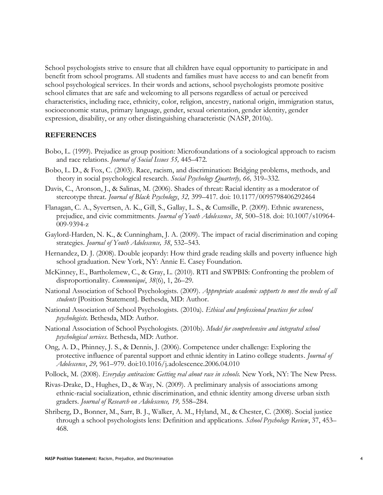School psychologists strive to ensure that all children have equal opportunity to participate in and benefit from school programs. All students and families must have access to and can benefit from school psychological services. In their words and actions, school psychologists promote positive school climates that are safe and welcoming to all persons regardless of actual or perceived characteristics, including race, ethnicity, color, religion, ancestry, national origin, immigration status, socioeconomic status, primary language, gender, sexual orientation, gender identity, gender expression, disability, or any other distinguishing characteristic (NASP, 2010a).

#### **REFERENCES**

- Bobo, L. (1999). Prejudice as group position: Microfoundations of a sociological approach to racism and race relations. *Journal of Social Issues 55,* 445–472.
- Bobo, L. D., & Fox, C. (2003). Race, racism, and discrimination: Bridging problems, methods, and theory in social psychological research. *Social Psychology Quarterly, 66,* 319–332.
- Davis, C., Aronson, J., & Salinas, M. (2006). Shades of threat: Racial identity as a moderator of stereotype threat. *Journal of Black Psychology*, *32,* 399–417. doi: 10.1177/0095798406292464
- Flanagan, C. A., Syvertsen, A. K., Gill, S., Gallay, L. S., & Cumsille, P. (2009). Ethnic awareness, prejudice, and civic commitments. *Journal of Youth Adolescence*, *38*, 500–518. doi: 10.1007/s10964- 009-9394-z
- Gaylord-Harden, N. K., & Cunningham, J. A. (2009). The impact of racial discrimination and coping strategies. *Journal of Youth Adolescence, 38*, 532–543.
- Hernandez, D. J. (2008). Double jeopardy: How third grade reading skills and poverty influence high school graduation. New York, NY: Annie E. Casey Foundation.
- McKinney, E., Bartholemew, C., & Gray, L. (2010). RTI and SWPBIS: Confronting the problem of disproportionality. *Communiqué*, *38*(6), 1, 26–29.
- National Association of School Psychologists. (2009). *Appropriate academic supports to meet the needs of all students* [Position Statement]. Bethesda, MD: Author.
- National Association of School Psychologists. (2010a). *Ethical and professional practices for school psychologists.* Bethesda, MD: Author.
- National Association of School Psychologists. (2010b). *Model for comprehensive and integrated school psychological services.* Bethesda, MD: Author.
- Ong, A. D., Phinney, J. S., & Dennis, J. (2006). Competence under challenge: Exploring the protective influence of parental support and ethnic identity in Latino college students. *Journal of Adolescence*, *29,* 961–979. doi:10.1016/j.adolescence.2006.04.010
- Pollock, M. (2008). *Everyday antiracism: Getting real about race in schools.* New York, NY: The New Press.
- Rivas-Drake, D., Hughes, D., & Way, N. (2009). A preliminary analysis of associations among ethnic-racial socialization, ethnic discrimination, and ethnic identity among diverse urban sixth graders. *Journal of Research on Adolescence, 19,* 558–284.
- Shriberg, D., Bonner, M., Sarr, B. J., Walker, A. M., Hyland, M., & Chester, C. (2008). Social justice through a school psychologists lens: Definition and applications. *School Psychology Review*, 37, 453– 468.